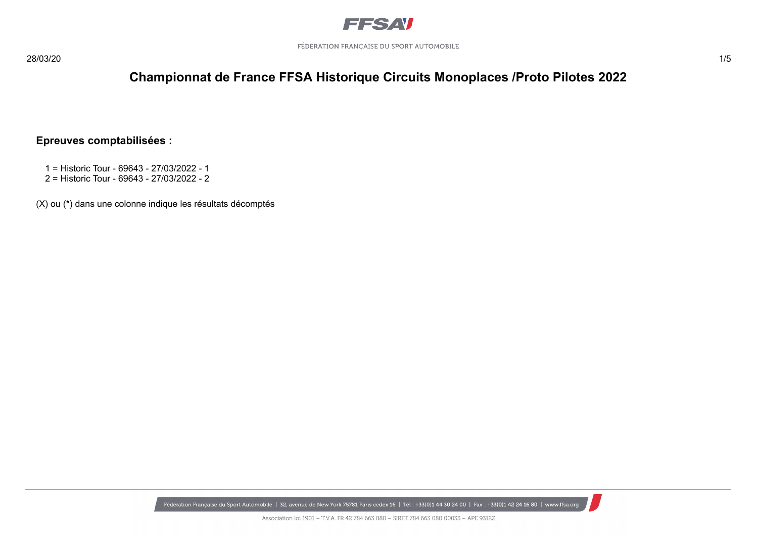

#### **Epreuves comptabilisées :**

- 1 = Historic Tour 69643 27/03/2022 1
- 2 = Historic Tour 69643 27/03/2022 2

(X) ou (\*) dans une colonne indique les résultats décomptés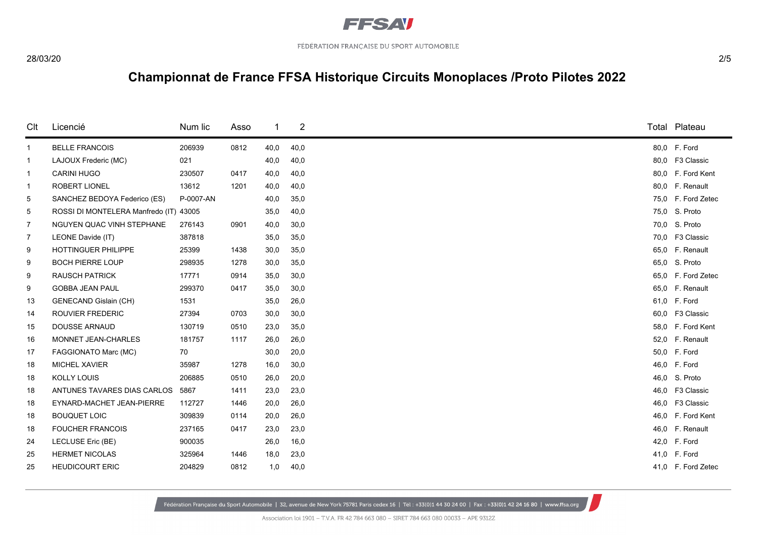

| Clt            | Licencié                               | Num lic   | Asso | -1   | 2    |      | Total Plateau      |
|----------------|----------------------------------------|-----------|------|------|------|------|--------------------|
| $\mathbf{1}$   | <b>BELLE FRANCOIS</b>                  | 206939    | 0812 | 40,0 | 40,0 |      | 80,0 F. Ford       |
| $\mathbf{1}$   | LAJOUX Frederic (MC)                   | 021       |      | 40,0 | 40,0 |      | 80,0 F3 Classic    |
| $\mathbf{1}$   | <b>CARINI HUGO</b>                     | 230507    | 0417 | 40,0 | 40,0 |      | 80,0 F. Ford Kent  |
| $\mathbf{1}$   | <b>ROBERT LIONEL</b>                   | 13612     | 1201 | 40,0 | 40,0 |      | 80,0 F. Renault    |
| 5              | SANCHEZ BEDOYA Federico (ES)           | P-0007-AN |      | 40,0 | 35,0 | 75,0 | F. Ford Zetec      |
| 5              | ROSSI DI MONTELERA Manfredo (IT) 43005 |           |      | 35,0 | 40,0 |      | 75,0 S. Proto      |
| 7              | NGUYEN QUAC VINH STEPHANE              | 276143    | 0901 | 40,0 | 30,0 | 70,0 | S. Proto           |
| $\overline{7}$ | LEONE Davide (IT)                      | 387818    |      | 35,0 | 35,0 |      | 70,0 F3 Classic    |
| 9              | HOTTINGUER PHILIPPE                    | 25399     | 1438 | 30,0 | 35,0 |      | 65,0 F. Renault    |
| 9              | <b>BOCH PIERRE LOUP</b>                | 298935    | 1278 | 30,0 | 35,0 | 65,0 | S. Proto           |
| 9              | <b>RAUSCH PATRICK</b>                  | 17771     | 0914 | 35,0 | 30,0 |      | 65,0 F. Ford Zetec |
| 9              | <b>GOBBA JEAN PAUL</b>                 | 299370    | 0417 | 35,0 | 30,0 |      | 65,0 F. Renault    |
| 13             | <b>GENECAND Gislain (CH)</b>           | 1531      |      | 35,0 | 26,0 |      | 61,0 F. Ford       |
| 14             | <b>ROUVIER FREDERIC</b>                | 27394     | 0703 | 30,0 | 30,0 | 60,0 | F3 Classic         |
| 15             | DOUSSE ARNAUD                          | 130719    | 0510 | 23,0 | 35,0 |      | 58,0 F. Ford Kent  |
| 16             | MONNET JEAN-CHARLES                    | 181757    | 1117 | 26,0 | 26,0 | 52,0 | F. Renault         |
| 17             | FAGGIONATO Marc (MC)                   | 70        |      | 30,0 | 20,0 |      | 50,0 F. Ford       |
| 18             | MICHEL XAVIER                          | 35987     | 1278 | 16,0 | 30,0 |      | 46,0 F. Ford       |
| 18             | KOLLY LOUIS                            | 206885    | 0510 | 26,0 | 20,0 | 46,0 | S. Proto           |
| 18             | ANTUNES TAVARES DIAS CARLOS            | 5867      | 1411 | 23,0 | 23,0 |      | 46,0 F3 Classic    |
| 18             | EYNARD-MACHET JEAN-PIERRE              | 112727    | 1446 | 20,0 | 26,0 |      | 46,0 F3 Classic    |
| 18             | <b>BOUQUET LOIC</b>                    | 309839    | 0114 | 20,0 | 26,0 | 46.0 | F. Ford Kent       |
| 18             | <b>FOUCHER FRANCOIS</b>                | 237165    | 0417 | 23,0 | 23,0 |      | 46,0 F. Renault    |
| 24             | LECLUSE Eric (BE)                      | 900035    |      | 26,0 | 16,0 |      | 42,0 F. Ford       |
| 25             | <b>HERMET NICOLAS</b>                  | 325964    | 1446 | 18,0 | 23,0 |      | 41,0 F. Ford       |
| 25             | <b>HEUDICOURT ERIC</b>                 | 204829    | 0812 | 1,0  | 40,0 |      | 41,0 F. Ford Zetec |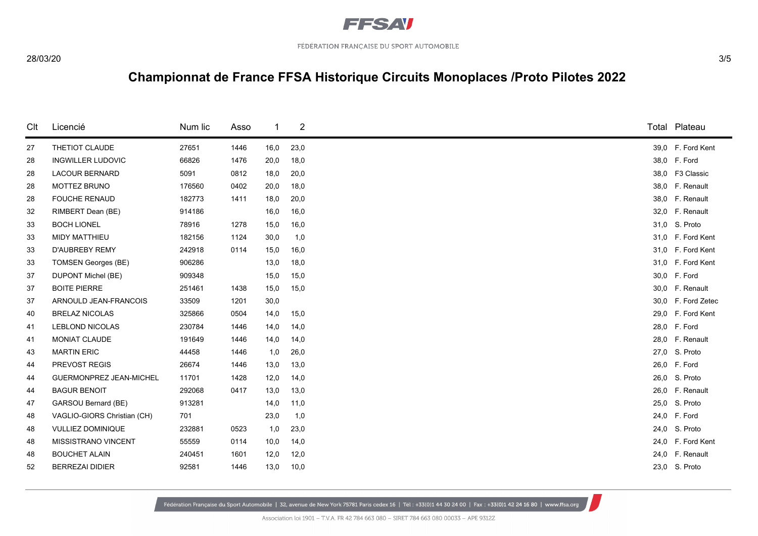

| Clt | Licencié                       | Num lic | Asso | -1   | $\overline{\mathbf{c}}$ |      | Total Plateau     |
|-----|--------------------------------|---------|------|------|-------------------------|------|-------------------|
| 27  | THETIOT CLAUDE                 | 27651   | 1446 | 16,0 | 23,0                    |      | 39,0 F. Ford Kent |
| 28  | <b>INGWILLER LUDOVIC</b>       | 66826   | 1476 | 20,0 | 18,0                    |      | 38,0 F. Ford      |
| 28  | <b>LACOUR BERNARD</b>          | 5091    | 0812 | 18,0 | 20,0                    |      | 38,0 F3 Classic   |
| 28  | <b>MOTTEZ BRUNO</b>            | 176560  | 0402 | 20,0 | 18,0                    |      | 38,0 F. Renault   |
| 28  | <b>FOUCHE RENAUD</b>           | 182773  | 1411 | 18,0 | 20,0                    |      | 38,0 F. Renault   |
| 32  | RIMBERT Dean (BE)              | 914186  |      | 16,0 | 16,0                    |      | 32,0 F. Renault   |
| 33  | <b>BOCH LIONEL</b>             | 78916   | 1278 | 15,0 | 16,0                    |      | 31,0 S. Proto     |
| 33  | <b>MIDY MATTHIEU</b>           | 182156  | 1124 | 30,0 | 1,0                     |      | 31,0 F. Ford Kent |
| 33  | <b>D'AUBREBY REMY</b>          | 242918  | 0114 | 15,0 | 16,0                    |      | 31,0 F. Ford Kent |
| 33  | <b>TOMSEN Georges (BE)</b>     | 906286  |      | 13,0 | 18,0                    |      | 31,0 F. Ford Kent |
| 37  | <b>DUPONT Michel (BE)</b>      | 909348  |      | 15,0 | 15,0                    |      | 30,0 F. Ford      |
| 37  | <b>BOITE PIERRE</b>            | 251461  | 1438 | 15,0 | 15,0                    |      | 30,0 F. Renault   |
| 37  | ARNOULD JEAN-FRANCOIS          | 33509   | 1201 | 30,0 |                         | 30,0 | F. Ford Zetec     |
| 40  | <b>BRELAZ NICOLAS</b>          | 325866  | 0504 | 14,0 | 15,0                    |      | 29,0 F. Ford Kent |
| 41  | <b>LEBLOND NICOLAS</b>         | 230784  | 1446 | 14,0 | 14,0                    |      | 28,0 F. Ford      |
| 41  | MONIAT CLAUDE                  | 191649  | 1446 | 14,0 | 14,0                    |      | 28,0 F. Renault   |
| 43  | <b>MARTIN ERIC</b>             | 44458   | 1446 | 1,0  | 26,0                    |      | 27,0 S. Proto     |
| 44  | PREVOST REGIS                  | 26674   | 1446 | 13,0 | 13,0                    |      | 26,0 F. Ford      |
| 44  | <b>GUERMONPREZ JEAN-MICHEL</b> | 11701   | 1428 | 12,0 | 14,0                    |      | 26,0 S. Proto     |
| 44  | <b>BAGUR BENOIT</b>            | 292068  | 0417 | 13,0 | 13,0                    |      | 26,0 F. Renault   |
| 47  | GARSOU Bernard (BE)            | 913281  |      | 14,0 | 11,0                    |      | 25,0 S. Proto     |
| 48  | VAGLIO-GIORS Christian (CH)    | 701     |      | 23,0 | 1,0                     |      | 24,0 F. Ford      |
| 48  | <b>VULLIEZ DOMINIQUE</b>       | 232881  | 0523 | 1,0  | 23,0                    |      | 24,0 S. Proto     |
| 48  | <b>MISSISTRANO VINCENT</b>     | 55559   | 0114 | 10,0 | 14,0                    |      | 24,0 F. Ford Kent |
| 48  | <b>BOUCHET ALAIN</b>           | 240451  | 1601 | 12,0 | 12,0                    |      | 24,0 F. Renault   |
| 52  | <b>BERREZAI DIDIER</b>         | 92581   | 1446 | 13,0 | 10,0                    |      | 23,0 S. Proto     |
|     |                                |         |      |      |                         |      |                   |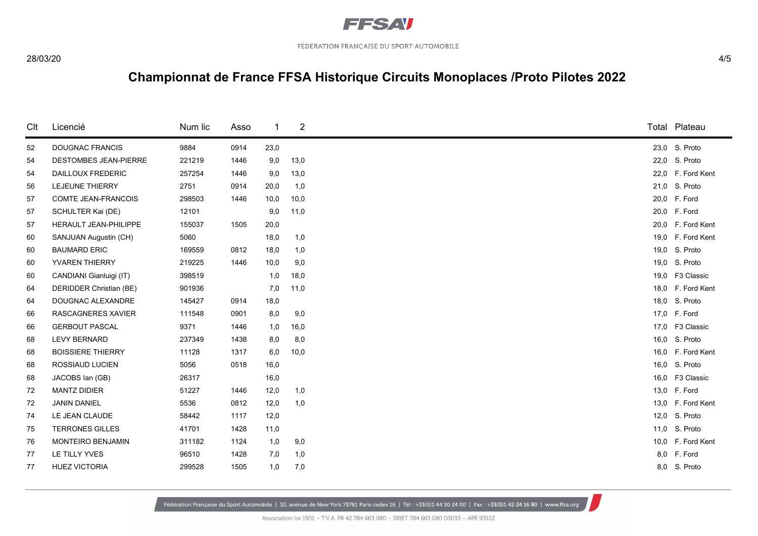

| Clt | Licencié                     | Num lic | Asso | -1   | $\overline{c}$ |      | Total Plateau     |
|-----|------------------------------|---------|------|------|----------------|------|-------------------|
| 52  | <b>DOUGNAC FRANCIS</b>       | 9884    | 0914 | 23,0 |                |      | 23,0 S. Proto     |
| 54  | <b>DESTOMBES JEAN-PIERRE</b> | 221219  | 1446 | 9,0  | 13,0           |      | 22,0 S. Proto     |
| 54  | <b>DAILLOUX FREDERIC</b>     | 257254  | 1446 | 9,0  | 13,0           |      | 22,0 F. Ford Kent |
| 56  | LEJEUNE THIERRY              | 2751    | 0914 | 20,0 | 1,0            |      | 21,0 S. Proto     |
| 57  | <b>COMTE JEAN-FRANCOIS</b>   | 298503  | 1446 | 10,0 | 10,0           |      | 20,0 F. Ford      |
| 57  | SCHULTER Kai (DE)            | 12101   |      | 9,0  | 11,0           |      | 20,0 F. Ford      |
| 57  | HERAULT JEAN-PHILIPPE        | 155037  | 1505 | 20,0 |                | 20,0 | F. Ford Kent      |
| 60  | SANJUAN Augustin (CH)        | 5060    |      | 18,0 | 1,0            |      | 19,0 F. Ford Kent |
| 60  | <b>BAUMARD ERIC</b>          | 169559  | 0812 | 18,0 | 1,0            |      | 19,0 S. Proto     |
| 60  | YVAREN THIERRY               | 219225  | 1446 | 10,0 | 9,0            |      | 19,0 S. Proto     |
| 60  | CANDIANI Gianluigi (IT)      | 398519  |      | 1,0  | 18,0           |      | 19,0 F3 Classic   |
| 64  | DERIDDER Christian (BE)      | 901936  |      | 7,0  | 11,0           |      | 18,0 F. Ford Kent |
| 64  | DOUGNAC ALEXANDRE            | 145427  | 0914 | 18,0 |                |      | 18,0 S. Proto     |
| 66  | <b>RASCAGNERES XAVIER</b>    | 111548  | 0901 | 8,0  | 9,0            |      | 17,0 F. Ford      |
| 66  | <b>GERBOUT PASCAL</b>        | 9371    | 1446 | 1,0  | 16,0           |      | 17,0 F3 Classic   |
| 68  | <b>LEVY BERNARD</b>          | 237349  | 1438 | 8,0  | 8,0            |      | 16,0 S. Proto     |
| 68  | <b>BOISSIERE THIERRY</b>     | 11128   | 1317 | 6,0  | 10,0           |      | 16,0 F. Ford Kent |
| 68  | ROSSIAUD LUCIEN              | 5056    | 0518 | 16,0 |                |      | 16,0 S. Proto     |
| 68  | JACOBS lan (GB)              | 26317   |      | 16,0 |                | 16,0 | F3 Classic        |
| 72  | <b>MANTZ DIDIER</b>          | 51227   | 1446 | 12,0 | 1,0            |      | 13,0 F. Ford      |
| 72  | <b>JANIN DANIEL</b>          | 5536    | 0812 | 12,0 | 1,0            |      | 13,0 F. Ford Kent |
| 74  | LE JEAN CLAUDE               | 58442   | 1117 | 12,0 |                |      | 12,0 S. Proto     |
| 75  | <b>TERRONES GILLES</b>       | 41701   | 1428 | 11,0 |                |      | 11,0 S. Proto     |
| 76  | MONTEIRO BENJAMIN            | 311182  | 1124 | 1,0  | 9,0            |      | 10,0 F. Ford Kent |
| 77  | LE TILLY YVES                | 96510   | 1428 | 7,0  | 1,0            |      | 8,0 F. Ford       |
| 77  | <b>HUEZ VICTORIA</b>         | 299528  | 1505 | 1,0  | 7,0            |      | 8,0 S. Proto      |